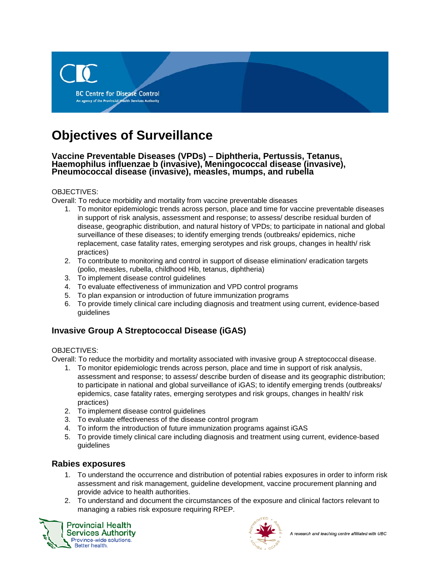

# **Objectives of Surveillance**

# **Vaccine Preventable Diseases (VPDs) – Diphtheria, Pertussis, Tetanus, Haemophilus influenzae b (invasive), Meningococcal disease (invasive), Pneumococcal disease (invasive), measles, mumps, and rubella**

#### OBJECTIVES:

Overall: To reduce morbidity and mortality from vaccine preventable diseases

- 1. To monitor epidemiologic trends across person, place and time for vaccine preventable diseases in support of risk analysis, assessment and response; to assess/ describe residual burden of disease, geographic distribution, and natural history of VPDs; to participate in national and global surveillance of these diseases; to identify emerging trends (outbreaks/ epidemics, niche replacement, case fatality rates, emerging serotypes and risk groups, changes in health/ risk practices)
- 2. To contribute to monitoring and control in support of disease elimination/ eradication targets (polio, measles, rubella, childhood Hib, tetanus, diphtheria)
- 3. To implement disease control guidelines
- 4. To evaluate effectiveness of immunization and VPD control programs
- 5. To plan expansion or introduction of future immunization programs
- 6. To provide timely clinical care including diagnosis and treatment using current, evidence-based guidelines

## **Invasive Group A Streptococcal Disease (iGAS)**

#### OBJECTIVES:

Overall: To reduce the morbidity and mortality associated with invasive group A streptococcal disease.

- 1. To monitor epidemiologic trends across person, place and time in support of risk analysis, assessment and response; to assess/ describe burden of disease and its geographic distribution; to participate in national and global surveillance of iGAS; to identify emerging trends (outbreaks/ epidemics, case fatality rates, emerging serotypes and risk groups, changes in health/ risk practices)
- 2. To implement disease control guidelines
- 3. To evaluate effectiveness of the disease control program
- 4. To inform the introduction of future immunization programs against iGAS
- 5. To provide timely clinical care including diagnosis and treatment using current, evidence-based guidelines

### **Rabies exposures**

- 1. To understand the occurrence and distribution of potential rabies exposures in order to inform risk assessment and risk management, guideline development, vaccine procurement planning and provide advice to health authorities.
- 2. To understand and document the circumstances of the exposure and clinical factors relevant to managing a rabies risk exposure requiring RPEP.